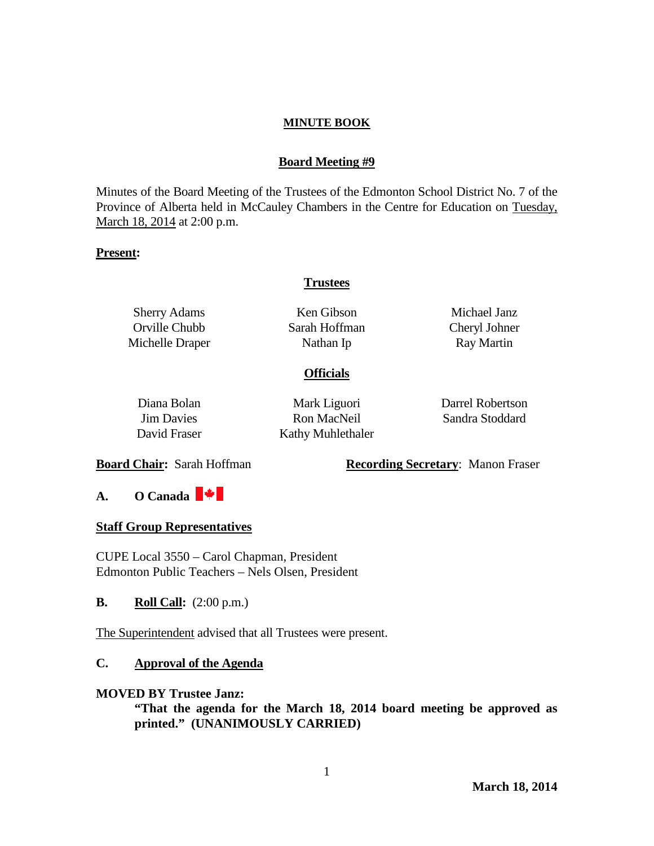## **Board Meeting #9**

Minutes of the Board Meeting of the Trustees of the Edmonton School District No. 7 of the Province of Alberta held in McCauley Chambers in the Centre for Education on Tuesday, March 18, 2014 at 2:00 p.m.

#### **Present:**

## **Trustees**

Sherry Adams Orville Chubb Michelle Draper

Ken Gibson Sarah Hoffman Nathan Ip

Michael Janz Cheryl Johner Ray Martin

#### **Officials**

Diana Bolan Jim Davies David Fraser Mark Liguori Ron MacNeil Kathy Muhlethaler

Darrel Robertson Sandra Stoddard

**Board Chair:** Sarah Hoffman **Recording Secretary**: Manon Fraser

**A. O Canada** 

## **Staff Group Representatives**

CUPE Local 3550 – Carol Chapman, President Edmonton Public Teachers – Nels Olsen, President

**B. Roll Call:**  $(2:00 \text{ p.m.})$ 

The Superintendent advised that all Trustees were present.

## **C. Approval of the Agenda**

#### **MOVED BY Trustee Janz:**

**"That the agenda for the March 18, 2014 board meeting be approved as printed." (UNANIMOUSLY CARRIED)**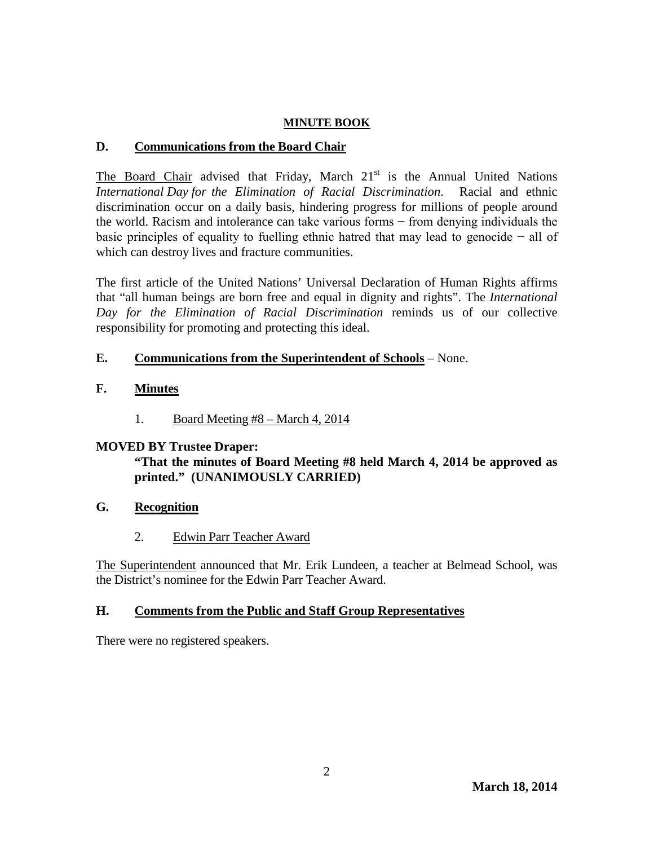# **D. Communications from the Board Chair**

The Board Chair advised that Friday, March  $21<sup>st</sup>$  is the Annual United Nations *International Day for the Elimination of Racial Discrimination*. Racial and ethnic discrimination occur on a daily basis, hindering progress for millions of people around the world. Racism and intolerance can take various forms − from denying individuals the basic principles of equality to fuelling ethnic hatred that may lead to genocide − all of which can destroy lives and fracture communities.

The first article of the United Nations' Universal Declaration of Human Rights affirms that "all human beings are born free and equal in dignity and rights". The *International Day for the Elimination of Racial Discrimination* reminds us of our collective responsibility for promoting and protecting this ideal.

# **E. Communications from the Superintendent of Schools** – None.

# **F. Minutes**

1. Board Meeting #8 – March 4, 2014

# **MOVED BY Trustee Draper:**

# **"That the minutes of Board Meeting #8 held March 4, 2014 be approved as printed." (UNANIMOUSLY CARRIED)**

- **G. Recognition**
	- 2. Edwin Parr Teacher Award

The Superintendent announced that Mr. Erik Lundeen, a teacher at Belmead School, was the District's nominee for the Edwin Parr Teacher Award.

# **H. Comments from the Public and Staff Group Representatives**

There were no registered speakers.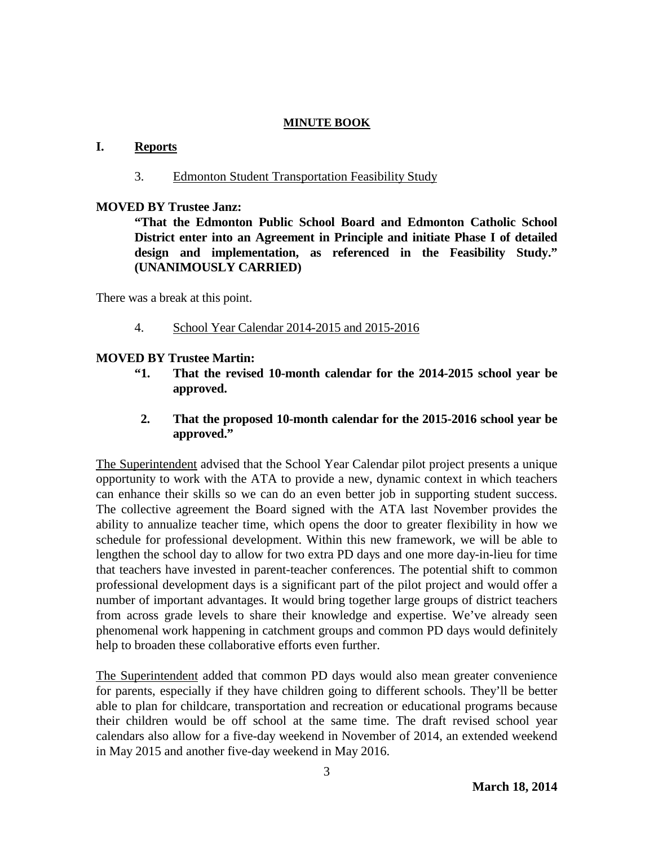## **I. Reports**

#### 3. Edmonton Student Transportation Feasibility Study

#### **MOVED BY Trustee Janz:**

**"That the Edmonton Public School Board and Edmonton Catholic School District enter into an Agreement in Principle and initiate Phase I of detailed design and implementation, as referenced in the Feasibility Study." (UNANIMOUSLY CARRIED)**

There was a break at this point.

4. School Year Calendar 2014-2015 and 2015-2016

## **MOVED BY Trustee Martin:**

- **"1. That the revised 10-month calendar for the 2014-2015 school year be approved.**
- **2. That the proposed 10-month calendar for the 2015-2016 school year be approved."**

The Superintendent advised that the School Year Calendar pilot project presents a unique opportunity to work with the ATA to provide a new, dynamic context in which teachers can enhance their skills so we can do an even better job in supporting student success. The collective agreement the Board signed with the ATA last November provides the ability to annualize teacher time, which opens the door to greater flexibility in how we schedule for professional development. Within this new framework, we will be able to lengthen the school day to allow for two extra PD days and one more day-in-lieu for time that teachers have invested in parent-teacher conferences. The potential shift to common professional development days is a significant part of the pilot project and would offer a number of important advantages. It would bring together large groups of district teachers from across grade levels to share their knowledge and expertise. We've already seen phenomenal work happening in catchment groups and common PD days would definitely help to broaden these collaborative efforts even further.

The Superintendent added that common PD days would also mean greater convenience for parents, especially if they have children going to different schools. They'll be better able to plan for childcare, transportation and recreation or educational programs because their children would be off school at the same time. The draft revised school year calendars also allow for a five-day weekend in November of 2014, an extended weekend in May 2015 and another five-day weekend in May 2016.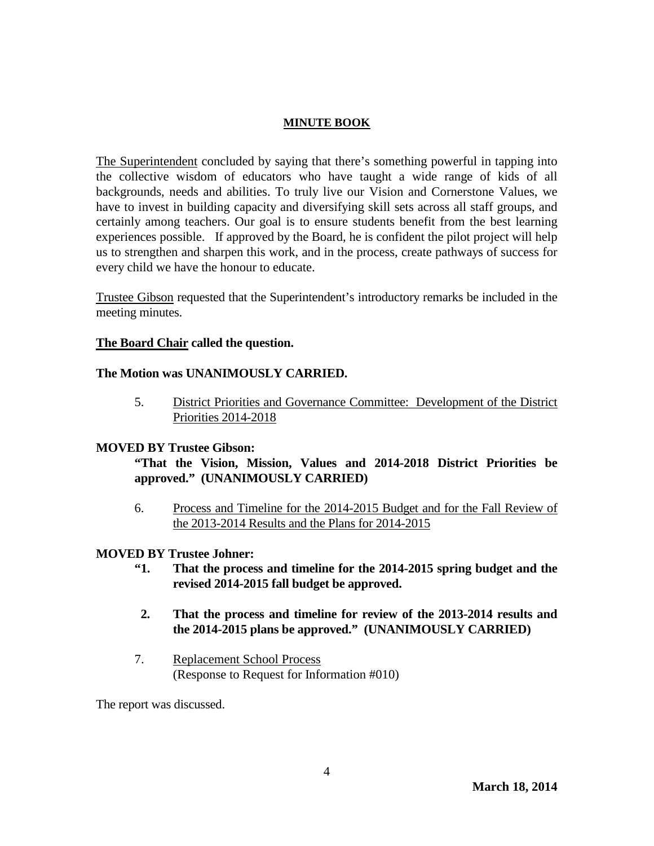The Superintendent concluded by saying that there's something powerful in tapping into the collective wisdom of educators who have taught a wide range of kids of all backgrounds, needs and abilities. To truly live our Vision and Cornerstone Values, we have to invest in building capacity and diversifying skill sets across all staff groups, and certainly among teachers. Our goal is to ensure students benefit from the best learning experiences possible. If approved by the Board, he is confident the pilot project will help us to strengthen and sharpen this work, and in the process, create pathways of success for every child we have the honour to educate.

Trustee Gibson requested that the Superintendent's introductory remarks be included in the meeting minutes.

## **The Board Chair called the question.**

## **The Motion was UNANIMOUSLY CARRIED.**

5. District Priorities and Governance Committee: Development of the District Priorities 2014-2018

#### **MOVED BY Trustee Gibson:**

**"That the Vision, Mission, Values and 2014-2018 District Priorities be approved." (UNANIMOUSLY CARRIED)**

6. Process and Timeline for the 2014-2015 Budget and for the Fall Review of the 2013-2014 Results and the Plans for 2014-2015

## **MOVED BY Trustee Johner:**

- **"1. That the process and timeline for the 2014-2015 spring budget and the revised 2014-2015 fall budget be approved.**
- **2. That the process and timeline for review of the 2013-2014 results and the 2014-2015 plans be approved." (UNANIMOUSLY CARRIED)**
- 7. Replacement School Process (Response to Request for Information #010)

The report was discussed.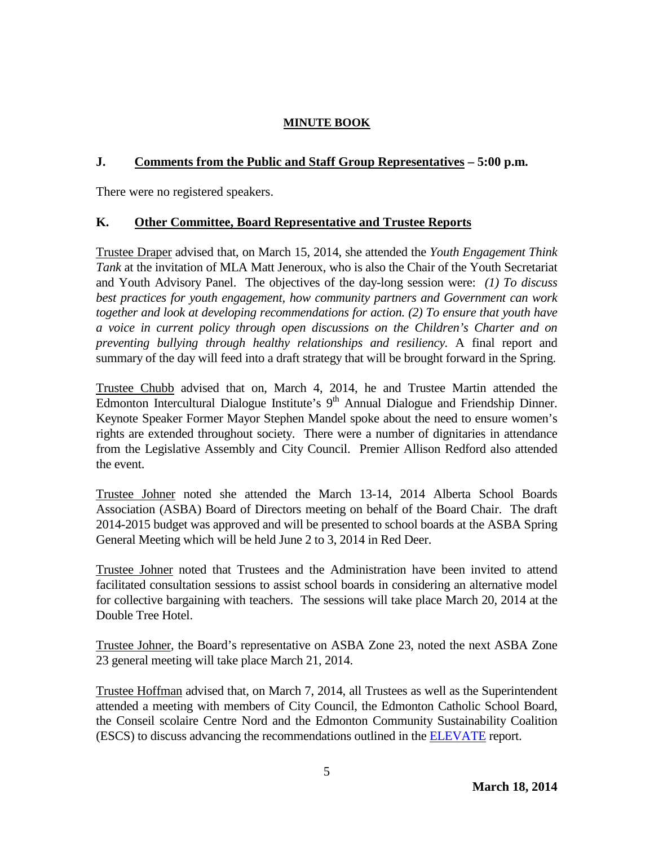# **J. Comments from the Public and Staff Group Representatives – 5:00 p.m.**

There were no registered speakers.

# **K. Other Committee, Board Representative and Trustee Reports**

Trustee Draper advised that, on March 15, 2014, she attended the *Youth Engagement Think Tank* at the invitation of MLA Matt Jeneroux, who is also the Chair of the Youth Secretariat and Youth Advisory Panel. The objectives of the day-long session were: *(1) To discuss best practices for youth engagement, how community partners and Government can work together and look at developing recommendations for action. (2) To ensure that youth have a voice in current policy through open discussions on the Children's Charter and on preventing bullying through healthy relationships and resiliency.* A final report and summary of the day will feed into a draft strategy that will be brought forward in the Spring.

Trustee Chubb advised that on, March 4, 2014, he and Trustee Martin attended the Edmonton Intercultural Dialogue Institute's 9<sup>th</sup> Annual Dialogue and Friendship Dinner. Keynote Speaker Former Mayor Stephen Mandel spoke about the need to ensure women's rights are extended throughout society. There were a number of dignitaries in attendance from the Legislative Assembly and City Council. Premier Allison Redford also attended the event.

Trustee Johner noted she attended the March 13-14, 2014 Alberta School Boards Association (ASBA) Board of Directors meeting on behalf of the Board Chair. The draft 2014-2015 budget was approved and will be presented to school boards at the ASBA Spring General Meeting which will be held June 2 to 3, 2014 in Red Deer.

Trustee Johner noted that Trustees and the Administration have been invited to attend facilitated consultation sessions to assist school boards in considering an alternative model for collective bargaining with teachers. The sessions will take place March 20, 2014 at the Double Tree Hotel.

Trustee Johner, the Board's representative on ASBA Zone 23, noted the next ASBA Zone 23 general meeting will take place March 21, 2014.

Trustee Hoffman advised that, on March 7, 2014, all Trustees as well as the Superintendent attended a meeting with members of City Council, the Edmonton Catholic School Board, the Conseil scolaire Centre Nord and the Edmonton Community Sustainability Coalition (ESCS) to discuss advancing the recommendations outlined in the [ELEVATE](http://www.edmonton.ca/city_government/documents/ELEVATE.pdf) report.